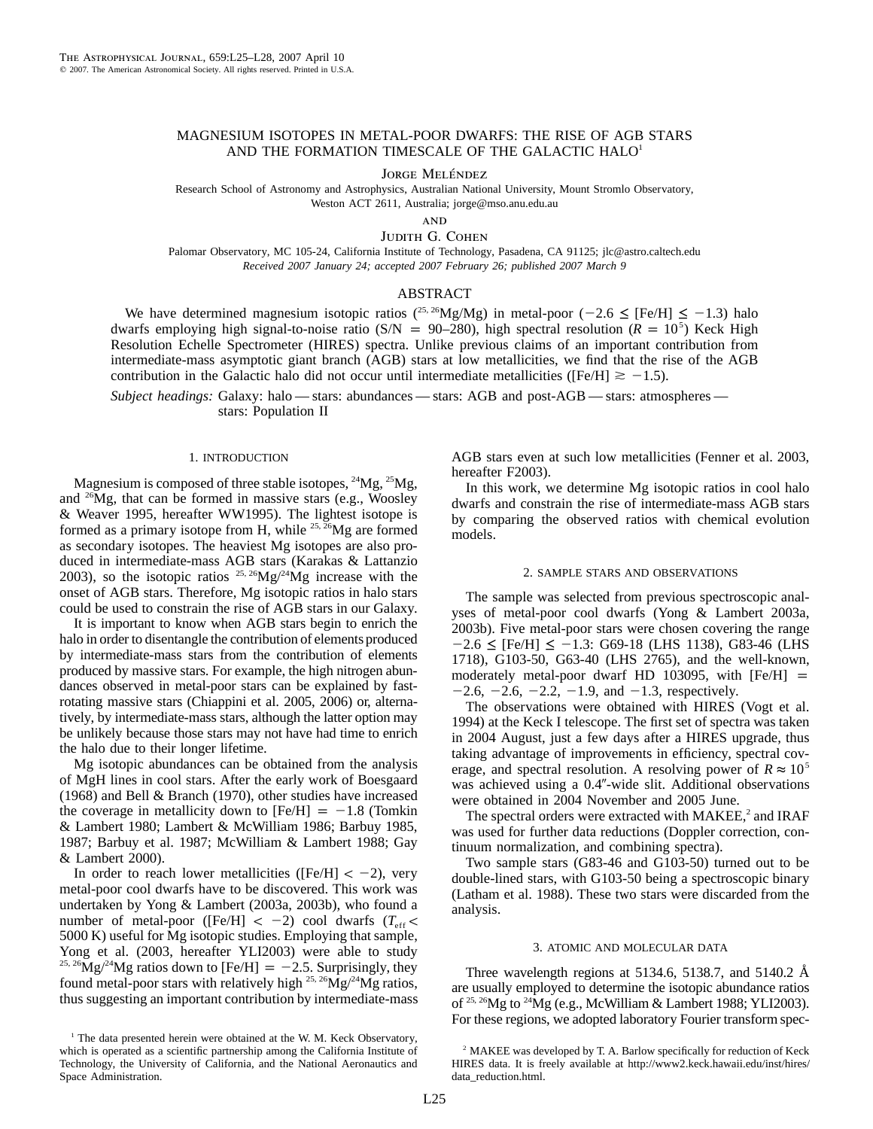# MAGNESIUM ISOTOPES IN METAL-POOR DWARFS: THE RISE OF AGB STARS AND THE FORMATION TIMESCALE OF THE GALACTIC HALO<sup>1</sup>

JORGE MELÉNDEZ

Research School of Astronomy and Astrophysics, Australian National University, Mount Stromlo Observatory, Weston ACT 2611, Australia; jorge@mso.anu.edu.au

**AND** 

JUDITH G. COHEN

Palomar Observatory, MC 105-24, California Institute of Technology, Pasadena, CA 91125; jlc@astro.caltech.edu *Received 2007 January 24; accepted 2007 February 26; published 2007 March 9*

# ABSTRACT

We have determined magnesium isotopic ratios (<sup>25, 26</sup>Mg/Mg) in metal-poor (-2.6  $\leq$  [Fe/H]  $\leq$  -1.3) halo dwarfs employing high signal-to-noise ratio (S/N = 90–280), high spectral resolution ( $R = 10<sup>5</sup>$ ) Keck High Resolution Echelle Spectrometer (HIRES) spectra. Unlike previous claims of an important contribution from intermediate-mass asymptotic giant branch (AGB) stars at low metallicities, we find that the rise of the AGB contribution in the Galactic halo did not occur until intermediate metallicities ([Fe/H]  $\ge -1.5$ ).

*Subject headings:* Galaxy: halo — stars: abundances — stars: AGB and post-AGB — stars: atmospheres stars: Population II

### 1. INTRODUCTION

Magnesium is composed of three stable isotopes,  $^{24}Mg$ ,  $^{25}Mg$ , and  $^{26}Mg$ , that can be formed in massive stars (e.g., Woosley & Weaver 1995, hereafter WW1995). The lightest isotope is formed as a primary isotope from H, while <sup>25,  $26Mg$ </sup> are formed as secondary isotopes. The heaviest Mg isotopes are also produced in intermediate-mass AGB stars (Karakas & Lattanzio 2003), so the isotopic ratios  $25.26$ Mg/ $24$ Mg increase with the onset of AGB stars. Therefore, Mg isotopic ratios in halo stars could be used to constrain the rise of AGB stars in our Galaxy.

It is important to know when AGB stars begin to enrich the halo in order to disentangle the contribution of elements produced by intermediate-mass stars from the contribution of elements produced by massive stars. For example, the high nitrogen abundances observed in metal-poor stars can be explained by fastrotating massive stars (Chiappini et al. 2005, 2006) or, alternatively, by intermediate-mass stars, although the latter option may be unlikely because those stars may not have had time to enrich the halo due to their longer lifetime.

Mg isotopic abundances can be obtained from the analysis of MgH lines in cool stars. After the early work of Boesgaard (1968) and Bell & Branch (1970), other studies have increased the coverage in metallicity down to  $[Fe/H] = -1.8$  (Tomkin & Lambert 1980; Lambert & McWilliam 1986; Barbuy 1985, 1987; Barbuy et al. 1987; McWilliam & Lambert 1988; Gay & Lambert 2000).

In order to reach lower metallicities ([Fe/H]  $< -2$ ), very metal-poor cool dwarfs have to be discovered. This work was undertaken by Yong & Lambert (2003a, 2003b), who found a number of metal-poor ([Fe/H]  $< -2$ ) cool dwarfs ( $T_{eff}$ 5000 K) useful for Mg isotopic studies. Employing that sample, Yong et al. (2003, hereafter YLI2003) were able to study <sup>25, 26</sup>Mg/<sup>24</sup>Mg ratios down to [Fe/H] = -2.5. Surprisingly, they found metal-poor stars with relatively high  $25$ ,  $26$ Mg/ $24$ Mg ratios, thus suggesting an important contribution by intermediate-mass AGB stars even at such low metallicities (Fenner et al. 2003, hereafter F2003).

In this work, we determine Mg isotopic ratios in cool halo dwarfs and constrain the rise of intermediate-mass AGB stars by comparing the observed ratios with chemical evolution models.

## 2. SAMPLE STARS AND OBSERVATIONS

The sample was selected from previous spectroscopic analyses of metal-poor cool dwarfs (Yong & Lambert 2003a, 2003b). Five metal-poor stars were chosen covering the range  $-2.6 \leq$  [Fe/H]  $\leq -1.3$ : G69-18 (LHS 1138), G83-46 (LHS 1718), G103-50, G63-40 (LHS 2765), and the well-known, moderately metal-poor dwarf HD 103095, with  $[Fe/H] =$  $-2.6$ ,  $-2.6$ ,  $-2.2$ ,  $-1.9$ , and  $-1.3$ , respectively.

The observations were obtained with HIRES (Vogt et al. 1994) at the Keck I telescope. The first set of spectra was taken in 2004 August, just a few days after a HIRES upgrade, thus taking advantage of improvements in efficiency, spectral coverage, and spectral resolution. A resolving power of  $R \approx 10^5$ was achieved using a 0.4"-wide slit. Additional observations were obtained in 2004 November and 2005 June.

The spectral orders were extracted with  $MAKEE$ ,<sup>2</sup> and  $IRAF$ was used for further data reductions (Doppler correction, continuum normalization, and combining spectra).

Two sample stars (G83-46 and G103-50) turned out to be double-lined stars, with G103-50 being a spectroscopic binary (Latham et al. 1988). These two stars were discarded from the analysis.

### 3. ATOMIC AND MOLECULAR DATA

Three wavelength regions at 5134.6, 5138.7, and 5140.2  $\AA$ are usually employed to determine the isotopic abundance ratios of 25, 26Mg to 24Mg (e.g., McWilliam & Lambert 1988; YLI2003). For these regions, we adopted laboratory Fourier transform spec-

 $<sup>1</sup>$  The data presented herein were obtained at the W. M. Keck Observatory,</sup> which is operated as a scientific partnership among the California Institute of Technology, the University of California, and the National Aeronautics and Space Administration.

<sup>&</sup>lt;sup>2</sup> MAKEE was developed by T. A. Barlow specifically for reduction of Keck HIRES data. It is freely available at http://www2.keck.hawaii.edu/inst/hires/ data\_reduction.html.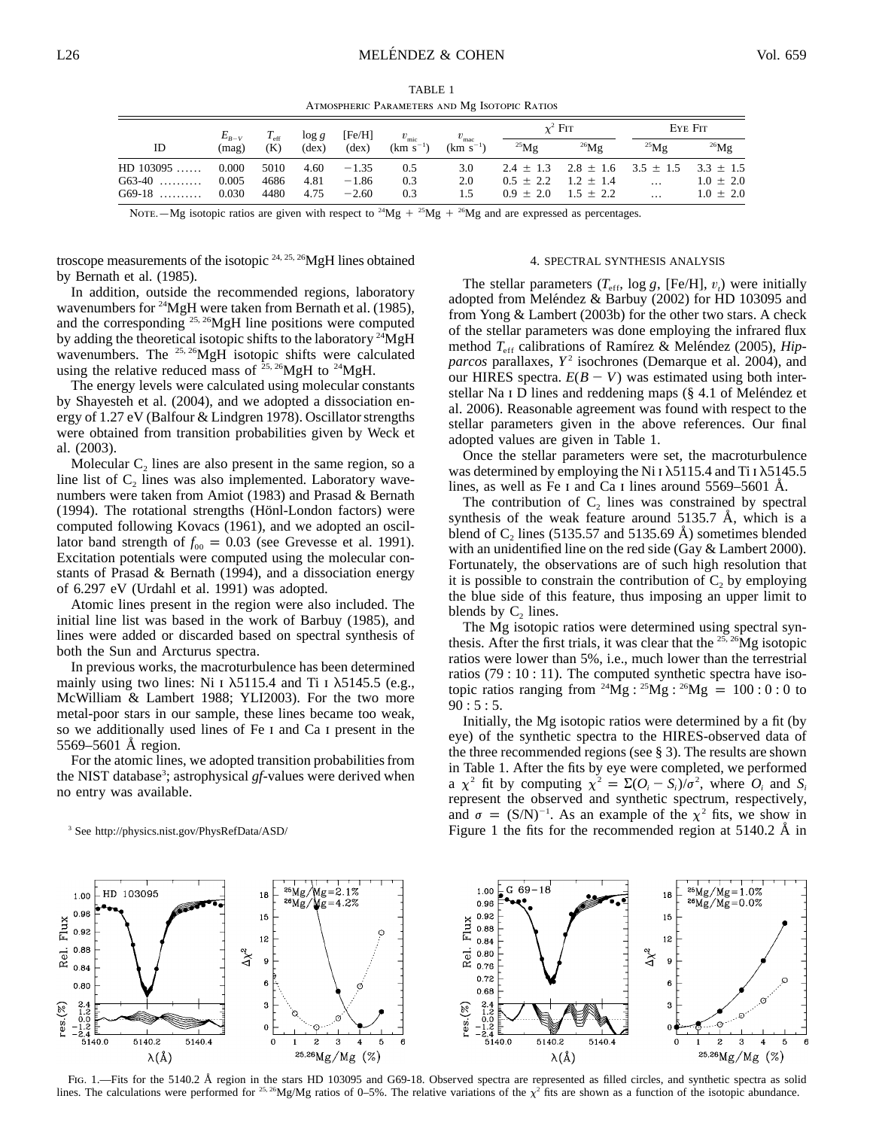TABLE 1 Atmospheric Parameters and Mg Isotopic Ratios

|             | $E_{R-V}$ | $T_{\rm eff}$ | $\log g$       | [Fe/H]         | $v_{\rm mic}$ | $v_{\rm mac}$ | $\chi^2$ FIT |                                                         | EYE FIT    |               |
|-------------|-----------|---------------|----------------|----------------|---------------|---------------|--------------|---------------------------------------------------------|------------|---------------|
| ID          | (mae)     | (K)           | $(\text{dex})$ | $(\text{dex})$ | $(km s^{-1})$ | $(km s^{-1})$ | $^{25}$ Mg   | $^{26}Mg$                                               | $^{25}$ Mg | $^{26}Mg$     |
| $HD$ 103095 | 0.000     | 5010          | 4.60           | $-1.35$        | 0.5           | 3.0           |              | $2.4 \pm 1.3$ $2.8 \pm 1.6$ $3.5 \pm 1.5$ $3.3 \pm 1.5$ |            |               |
| $G63-40$    | 0.005     | 4686          | 4.81           | $-1.86$        | 0.3           | 2.0           |              | $0.5 \pm 2.2$ $1.2 \pm 1.4$                             | $\cdots$   | $1.0 \pm 2.0$ |
| $G69-18$    | 0.030     | 4480          | 4.75           | $-2.60$        | 0.3           | 1.5           |              | $0.9 \pm 2.0$ $1.5 \pm 2.2$                             | $\ddots$   | $1.0 \pm 2.0$ |

Note all expressed as percentages. Note to  $^{24}Mg + ^{25}Mg + ^{26}Mg$  and are expressed as percentages.

troscope measurements of the isotopic  $24$ ,  $25$ ,  $26$ MgH lines obtained by Bernath et al. (1985).

In addition, outside the recommended regions, laboratory wavenumbers for <sup>24</sup>MgH were taken from Bernath et al. (1985), and the corresponding  $^{25, 26}$ MgH line positions were computed by adding the theoretical isotopic shifts to the laboratory  $^{24}$ MgH wavenumbers. The <sup>25, 26</sup>MgH isotopic shifts were calculated using the relative reduced mass of  $25.26$ MgH to  $24$ MgH.

The energy levels were calculated using molecular constants by Shayesteh et al. (2004), and we adopted a dissociation energy of 1.27 eV (Balfour & Lindgren 1978). Oscillator strengths were obtained from transition probabilities given by Weck et al. (2003).

Molecular  $C<sub>2</sub>$  lines are also present in the same region, so a line list of  $C_2$  lines was also implemented. Laboratory wavenumbers were taken from Amiot (1983) and Prasad & Bernath (1994). The rotational strengths (Hönl-London factors) were computed following Kovacs (1961), and we adopted an oscillator band strength of  $f_{00} = 0.03$  (see Grevesse et al. 1991). Excitation potentials were computed using the molecular constants of Prasad & Bernath (1994), and a dissociation energy of 6.297 eV (Urdahl et al. 1991) was adopted.

Atomic lines present in the region were also included. The initial line list was based in the work of Barbuy (1985), and lines were added or discarded based on spectral synthesis of both the Sun and Arcturus spectra.

In previous works, the macroturbulence has been determined mainly using two lines: Ni I  $\lambda$ 5115.4 and Ti I  $\lambda$ 5145.5 (e.g., McWilliam & Lambert 1988; YLI2003). For the two more metal-poor stars in our sample, these lines became too weak, so we additionally used lines of Fe I and Ca I present in the  $5569 - 5601$  Å region.

For the atomic lines, we adopted transition probabilities from the NIST database<sup>3</sup>; astrophysical gf-values were derived when no entry was available.

<sup>3</sup> See http://physics.nist.gov/PhysRefData/ASD/

### 4. SPECTRAL SYNTHESIS ANALYSIS

The stellar parameters  $(T_{\text{eff}}$ , log *g*, [Fe/H],  $v_t$ ) were initially adopted from Meléndez & Barbuy (2002) for HD 103095 and from Yong & Lambert (2003b) for the other two stars. A check of the stellar parameters was done employing the infrared flux method  $T_{\text{eff}}$  calibrations of Ramírez & Meléndez (2005), *Hipparcos* parallaxes,  $Y^2$  isochrones (Demarque et al. 2004), and our HIRES spectra.  $E(B - V)$  was estimated using both interstellar Na I D lines and reddening maps (§ 4.1 of Meléndez et al. 2006). Reasonable agreement was found with respect to the stellar parameters given in the above references. Our final adopted values are given in Table 1.

Once the stellar parameters were set, the macroturbulence was determined by employing the Ni I  $\lambda$ 5115.4 and Ti I  $\lambda$ 5145.5 lines, as well as Fe I and Ca I lines around  $5569-5601$  Å.

The contribution of  $C_2$  lines was constrained by spectral synthesis of the weak feature around  $5135.7$  Å, which is a blend of C<sub>2</sub> lines (5135.57 and 5135.69  $\AA$ ) sometimes blended with an unidentified line on the red side (Gay & Lambert 2000). Fortunately, the observations are of such high resolution that it is possible to constrain the contribution of  $C_2$  by employing the blue side of this feature, thus imposing an upper limit to blends by  $C_2$  lines.

The Mg isotopic ratios were determined using spectral synthesis. After the first trials, it was clear that the  $^{25,26}$ Mg isotopic ratios were lower than 5%, i.e., much lower than the terrestrial ratios (79 : 10 : 11). The computed synthetic spectra have isotopic ratios ranging from <sup>24</sup>Mg : <sup>25</sup>Mg : <sup>26</sup>Mg = 100 : 0 : 0 to  $90:5:5$ .

Initially, the Mg isotopic ratios were determined by a fit (by eye) of the synthetic spectra to the HIRES-observed data of the three recommended regions (see § 3). The results are shown in Table 1. After the fits by eye were completed, we performed a  $\chi^2$  fit by computing  $\chi^2 = \Sigma (O_i - S_i)/\sigma^2$ , where  $O_i$  and  $S_i$ represent the observed and synthetic spectrum, respectively, and  $\sigma = (S/N)^{-1}$ . As an example of the  $\chi^2$  fits, we show in Figure 1 the fits for the recommended region at  $5140.2$  Å in



Fig. 1.—Fits for the 5140.2 Å region in the stars HD 103095 and G69-18. Observed spectra are represented as filled circles, and synthetic spectra as solid lines. The calculations were performed for <sup>25, 26</sup>Mg/Mg ratios of 0–5%. The relative variations of the  $\chi^2$  fits are shown as a function of the isotopic abundance.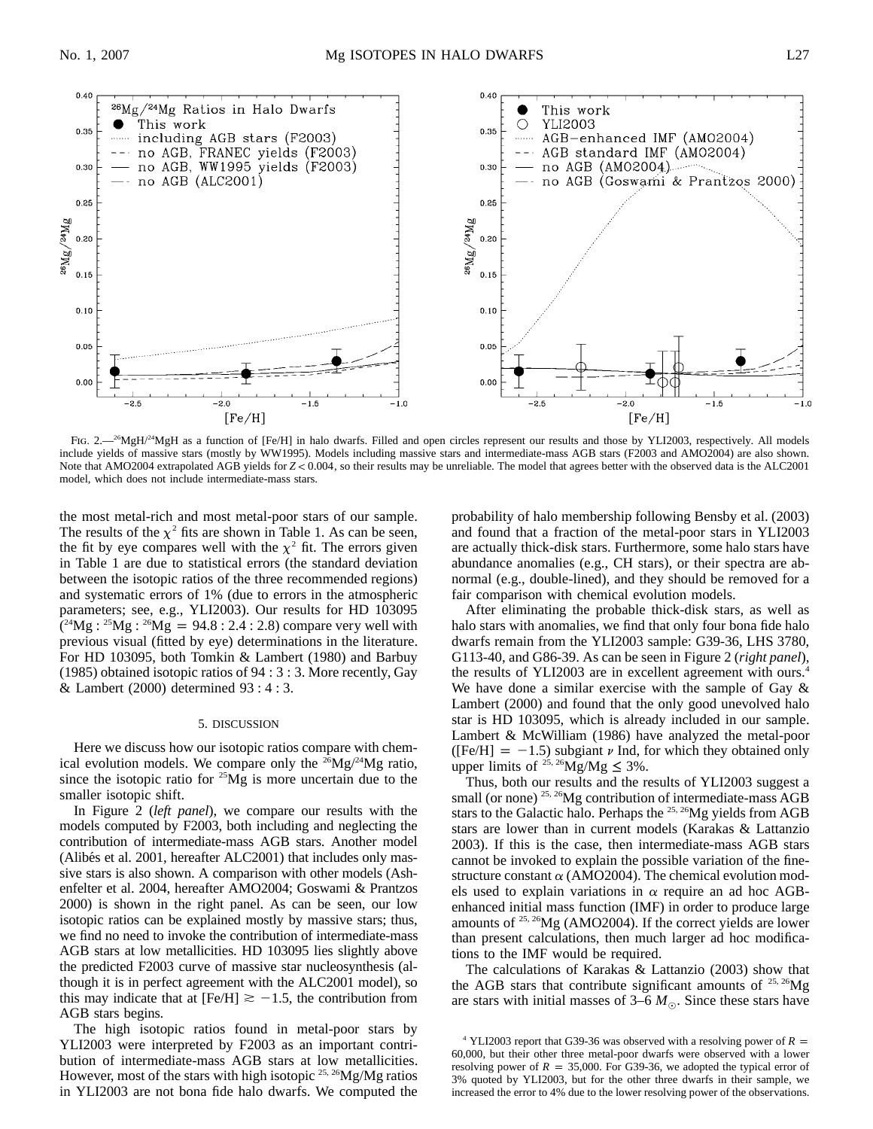

FIG. 2.<sup>26</sup>MgH/<sup>24</sup>MgH as a function of [Fe/H] in halo dwarfs. Filled and open circles represent our results and those by YLI2003, respectively. All models include yields of massive stars (mostly by WW1995). Models including massive stars and intermediate-mass AGB stars (F2003 and AMO2004) are also shown. Note that AMO2004 extrapolated AGB yields for  $Z < 0.004$ , so their results may be unreliable. The model that agrees better with the observed data is the ALC2001 model, which does not include intermediate-mass stars.

the most metal-rich and most metal-poor stars of our sample. The results of the  $\chi^2$  fits are shown in Table 1. As can be seen, the fit by eye compares well with the  $\chi^2$  fit. The errors given in Table 1 are due to statistical errors (the standard deviation between the isotopic ratios of the three recommended regions) and systematic errors of 1% (due to errors in the atmospheric parameters; see, e.g., YLI2003). Our results for HD 103095  $(2^{4}Mg : 2^{5}Mg : 2^{6}Mg = 94.8 : 2.4 : 2.8)$  compare very well with previous visual (fitted by eye) determinations in the literature. For HD 103095, both Tomkin & Lambert (1980) and Barbuy (1985) obtained isotopic ratios of 94 : 3 : 3. More recently, Gay & Lambert (2000) determined 93 : 4 : 3.

### 5. DISCUSSION

Here we discuss how our isotopic ratios compare with chemical evolution models. We compare only the  $26\text{Mg}/24\text{Mg}$  ratio, since the isotopic ratio for  $25Mg$  is more uncertain due to the smaller isotopic shift.

In Figure 2 (*left panel*), we compare our results with the models computed by F2003, both including and neglecting the contribution of intermediate-mass AGB stars. Another model (Alibés et al. 2001, hereafter ALC2001) that includes only massive stars is also shown. A comparison with other models (Ashenfelter et al. 2004, hereafter AMO2004; Goswami & Prantzos 2000) is shown in the right panel. As can be seen, our low isotopic ratios can be explained mostly by massive stars; thus, we find no need to invoke the contribution of intermediate-mass AGB stars at low metallicities. HD 103095 lies slightly above the predicted F2003 curve of massive star nucleosynthesis (although it is in perfect agreement with the ALC2001 model), so this may indicate that at [Fe/H]  $\ge -1.5$ , the contribution from AGB stars begins.

The high isotopic ratios found in metal-poor stars by YLI2003 were interpreted by F2003 as an important contribution of intermediate-mass AGB stars at low metallicities. However, most of the stars with high isotopic  $^{25, 26}$ Mg/Mg ratios in YLI2003 are not bona fide halo dwarfs. We computed the

probability of halo membership following Bensby et al. (2003) and found that a fraction of the metal-poor stars in YLI2003 are actually thick-disk stars. Furthermore, some halo stars have abundance anomalies (e.g., CH stars), or their spectra are abnormal (e.g., double-lined), and they should be removed for a fair comparison with chemical evolution models.

After eliminating the probable thick-disk stars, as well as halo stars with anomalies, we find that only four bona fide halo dwarfs remain from the YLI2003 sample: G39-36, LHS 3780, G113-40, and G86-39. As can be seen in Figure 2 (*right panel*), the results of YLI2003 are in excellent agreement with ours.<sup>4</sup> We have done a similar exercise with the sample of Gay  $\&$ Lambert (2000) and found that the only good unevolved halo star is HD 103095, which is already included in our sample. Lambert & McWilliam (1986) have analyzed the metal-poor ([Fe/H] =  $-1.5$ ) subgiant  $\nu$  Ind, for which they obtained only upper limits of <sup>25, 26</sup>Mg/Mg  $\leq$  3%.

Thus, both our results and the results of YLI2003 suggest a small (or none)<sup>25, 26</sup>Mg contribution of intermediate-mass AGB stars to the Galactic halo. Perhaps the 25, 26Mg yields from AGB stars are lower than in current models (Karakas & Lattanzio 2003). If this is the case, then intermediate-mass AGB stars cannot be invoked to explain the possible variation of the finestructure constant  $\alpha$  (AMO2004). The chemical evolution models used to explain variations in  $\alpha$  require an ad hoc AGBenhanced initial mass function (IMF) in order to produce large amounts of  $25, 26$ Mg (AMO2004). If the correct yields are lower than present calculations, then much larger ad hoc modifications to the IMF would be required.

The calculations of Karakas & Lattanzio (2003) show that the AGB stars that contribute significant amounts of  $25, 26$ Mg are stars with initial masses of  $3-6 M_{\odot}$ . Since these stars have

<sup>&</sup>lt;sup>4</sup> YLI2003 report that G39-36 was observed with a resolving power of  $R =$ 60,000, but their other three metal-poor dwarfs were observed with a lower resolving power of  $R = 35,000$ . For G39-36, we adopted the typical error of 3% quoted by YLI2003, but for the other three dwarfs in their sample, we increased the error to 4% due to the lower resolving power of the observations.